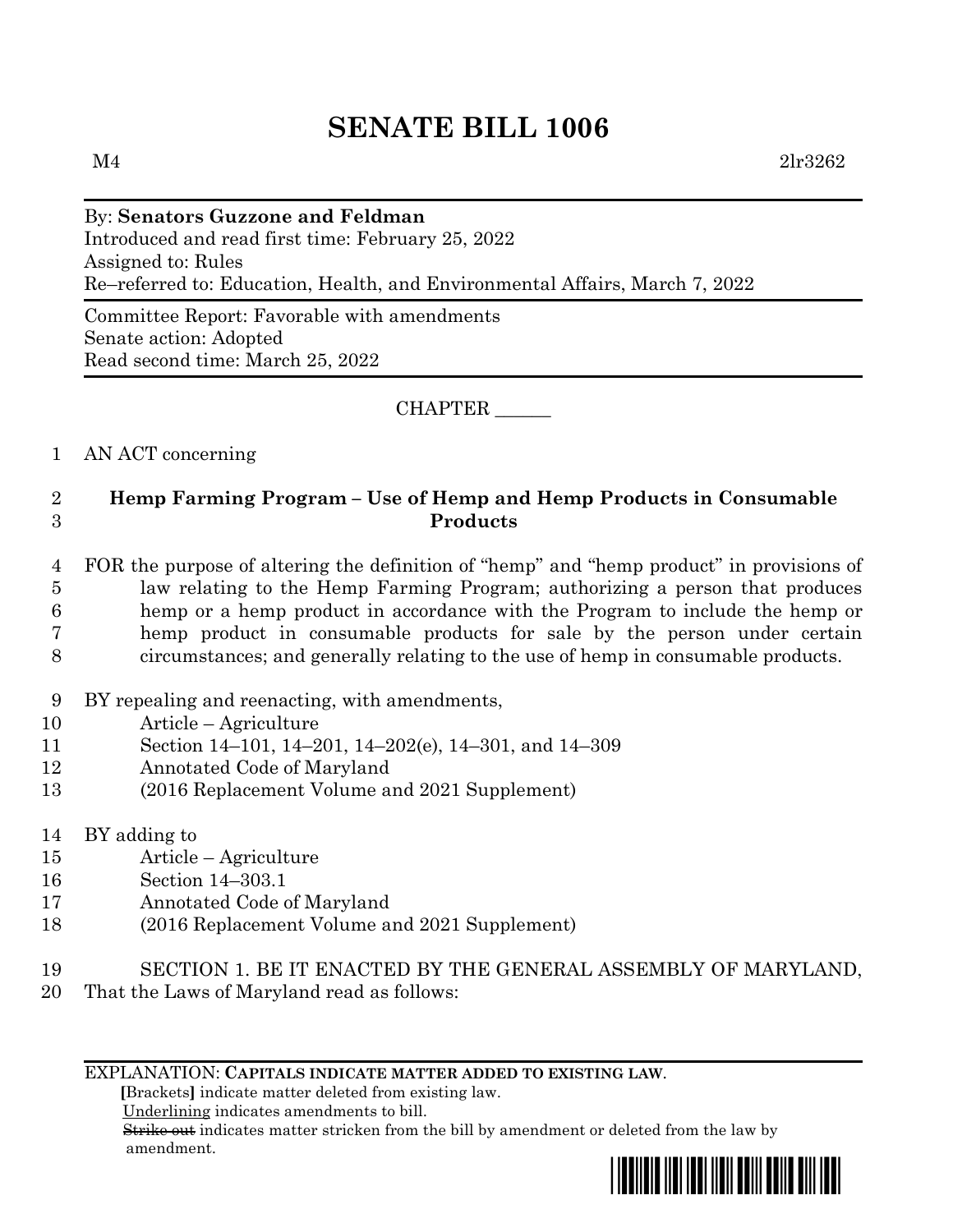# **SENATE BILL 1006**

## By: **Senators Guzzone and Feldman** Introduced and read first time: February 25, 2022 Assigned to: Rules Re–referred to: Education, Health, and Environmental Affairs, March 7, 2022

Committee Report: Favorable with amendments Senate action: Adopted Read second time: March 25, 2022

#### CHAPTER \_\_\_\_\_\_

## 1 AN ACT concerning

## 2 **Hemp Farming Program – Use of Hemp and Hemp Products in Consumable**  3 **Products**

- 4 FOR the purpose of altering the definition of "hemp" and "hemp product" in provisions of 5 law relating to the Hemp Farming Program; authorizing a person that produces 6 hemp or a hemp product in accordance with the Program to include the hemp or 7 hemp product in consumable products for sale by the person under certain 8 circumstances; and generally relating to the use of hemp in consumable products.
- 9 BY repealing and reenacting, with amendments,
- 10 Article Agriculture
- 11 Section 14–101, 14–201, 14–202(e), 14–301, and 14–309
- 12 Annotated Code of Maryland
- 13 (2016 Replacement Volume and 2021 Supplement)
- 14 BY adding to
- 15 Article Agriculture
- 16 Section 14–303.1
- 17 Annotated Code of Maryland
- 18 (2016 Replacement Volume and 2021 Supplement)
- 19 SECTION 1. BE IT ENACTED BY THE GENERAL ASSEMBLY OF MARYLAND,
- 20 That the Laws of Maryland read as follows:

#### EXPLANATION: **CAPITALS INDICATE MATTER ADDED TO EXISTING LAW**.

 **[**Brackets**]** indicate matter deleted from existing law.

Underlining indicates amendments to bill.

 Strike out indicates matter stricken from the bill by amendment or deleted from the law by amendment.

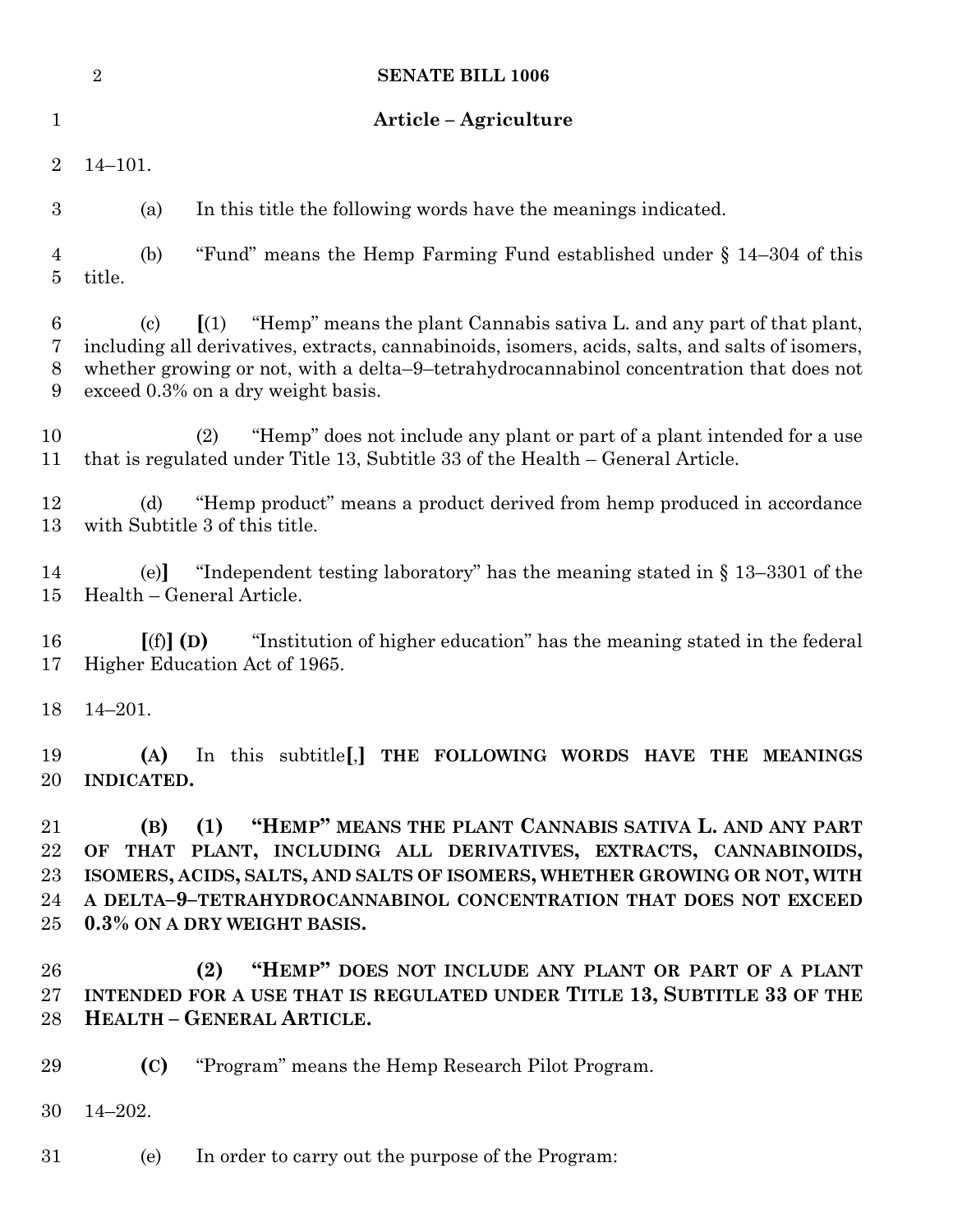|                            | $\overline{2}$<br><b>SENATE BILL 1006</b>                                                                                                                                                                                                                                                                                            |
|----------------------------|--------------------------------------------------------------------------------------------------------------------------------------------------------------------------------------------------------------------------------------------------------------------------------------------------------------------------------------|
| $\mathbf{1}$               | Article - Agriculture                                                                                                                                                                                                                                                                                                                |
| $\overline{2}$             | $14 - 101.$                                                                                                                                                                                                                                                                                                                          |
| $\boldsymbol{3}$           | In this title the following words have the meanings indicated.<br>(a)                                                                                                                                                                                                                                                                |
| 4<br>5                     | "Fund" means the Hemp Farming Fund established under $\S$ 14–304 of this<br>(b)<br>title.                                                                                                                                                                                                                                            |
| 6<br>7<br>8<br>9           | "Hemp" means the plant Cannabis sativa L. and any part of that plant,<br>$\left(1\right)$<br>(c)<br>including all derivatives, extracts, cannabinoids, isomers, acids, salts, and salts of isomers,<br>whether growing or not, with a delta-9-tetrahydrocannabinol concentration that does not<br>exceed 0.3% on a dry weight basis. |
| 10<br>11                   | "Hemp" does not include any plant or part of a plant intended for a use<br>(2)<br>that is regulated under Title 13, Subtitle 33 of the Health – General Article.                                                                                                                                                                     |
| 12<br>13                   | "Hemp product" means a product derived from hemp produced in accordance<br>(d)<br>with Subtitle 3 of this title.                                                                                                                                                                                                                     |
| 14<br>15                   | "Independent testing laboratory" has the meaning stated in $\S 13-3301$ of the<br>(e)<br>Health – General Article.                                                                                                                                                                                                                   |
| 16<br>17                   | "Institution of higher education" has the meaning stated in the federal<br>$[(f)]$ (D)<br>Higher Education Act of 1965.                                                                                                                                                                                                              |
| 18                         | $14 - 201.$                                                                                                                                                                                                                                                                                                                          |
| 19<br>20                   | (A) In this subtitle[J] THE FOLLOWING WORDS HAVE THE MEANINGS<br><b>INDICATED.</b>                                                                                                                                                                                                                                                   |
| 21<br>22<br>23<br>24<br>25 | "HEMP" MEANS THE PLANT CANNABIS SATIVA L. AND ANY PART<br>(1)<br>(B)<br>OF THAT PLANT, INCLUDING ALL DERIVATIVES, EXTRACTS, CANNABINOIDS,<br>ISOMERS, ACIDS, SALTS, AND SALTS OF ISOMERS, WHETHER GROWING OR NOT, WITH<br>A DELTA-9-TETRAHYDROCANNABINOL CONCENTRATION THAT DOES NOT EXCEED<br>0.3% ON A DRY WEIGHT BASIS.           |
| 26<br>$27\,$<br>28         | "HEMP" DOES NOT INCLUDE ANY PLANT OR PART OF A PLANT<br>(2)<br>INTENDED FOR A USE THAT IS REGULATED UNDER TITLE 13, SUBTITLE 33 OF THE<br><b>HEALTH - GENERAL ARTICLE.</b>                                                                                                                                                           |
| 29                         | "Program" means the Hemp Research Pilot Program.<br>(C)                                                                                                                                                                                                                                                                              |
| 30                         | $14 - 202.$                                                                                                                                                                                                                                                                                                                          |
| 31                         | (e)<br>In order to carry out the purpose of the Program:                                                                                                                                                                                                                                                                             |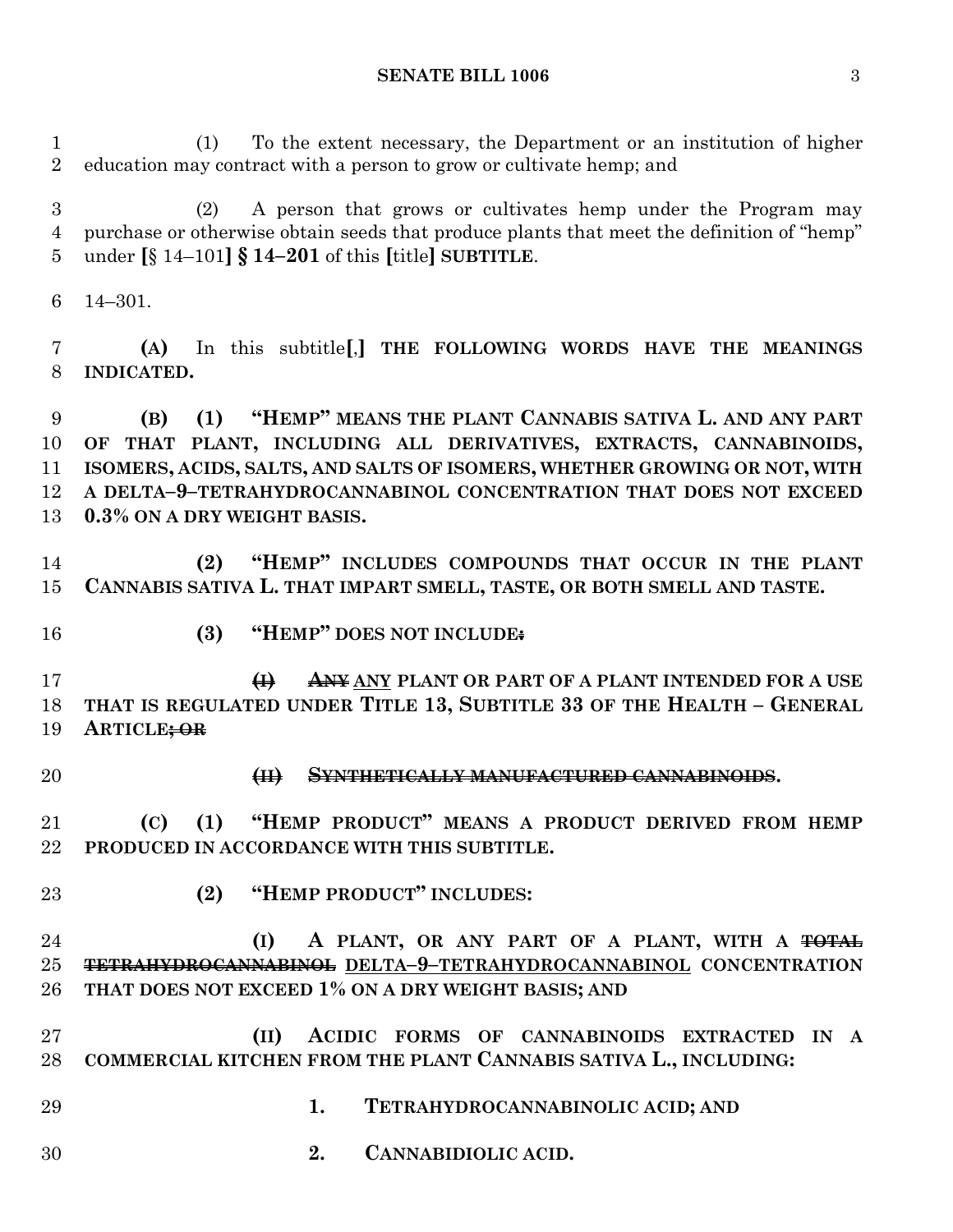(1) To the extent necessary, the Department or an institution of higher education may contract with a person to grow or cultivate hemp; and

 (2) A person that grows or cultivates hemp under the Program may purchase or otherwise obtain seeds that produce plants that meet the definition of "hemp" under **[**§ 14–101**] § 14–201** of this **[**title**] SUBTITLE**.

14–301.

 **(A)** In this subtitle**[**,**] THE FOLLOWING WORDS HAVE THE MEANINGS INDICATED.**

 **(B) (1) "HEMP" MEANS THE PLANT CANNABIS SATIVA L. AND ANY PART OF THAT PLANT, INCLUDING ALL DERIVATIVES, EXTRACTS, CANNABINOIDS, ISOMERS, ACIDS, SALTS, AND SALTS OF ISOMERS, WHETHER GROWING OR NOT, WITH A DELTA–9–TETRAHYDROCANNABINOL CONCENTRATION THAT DOES NOT EXCEED 0.3% ON A DRY WEIGHT BASIS.**

 **(2) "HEMP" INCLUDES COMPOUNDS THAT OCCUR IN THE PLANT CANNABIS SATIVA L. THAT IMPART SMELL, TASTE, OR BOTH SMELL AND TASTE.**

- 
- **(3) "HEMP" DOES NOT INCLUDE:**

 **(I) ANY ANY PLANT OR PART OF A PLANT INTENDED FOR A USE THAT IS REGULATED UNDER TITLE 13, SUBTITLE 33 OF THE HEALTH – GENERAL ARTICLE; OR**

- 
- **(II) SYNTHETICALLY MANUFACTURED CANNABINOIDS.**

 **(C) (1) "HEMP PRODUCT" MEANS A PRODUCT DERIVED FROM HEMP PRODUCED IN ACCORDANCE WITH THIS SUBTITLE.**

**(2) "HEMP PRODUCT" INCLUDES:**

## **(I) A PLANT, OR ANY PART OF A PLANT, WITH A TOTAL TETRAHYDROCANNABINOL DELTA–9–TETRAHYDROCANNABINOL CONCENTRATION THAT DOES NOT EXCEED 1% ON A DRY WEIGHT BASIS; AND**

 **(II) ACIDIC FORMS OF CANNABINOIDS EXTRACTED IN A COMMERCIAL KITCHEN FROM THE PLANT CANNABIS SATIVA L., INCLUDING:**

- **1. TETRAHYDROCANNABINOLIC ACID; AND**
- **2. CANNABIDIOLIC ACID.**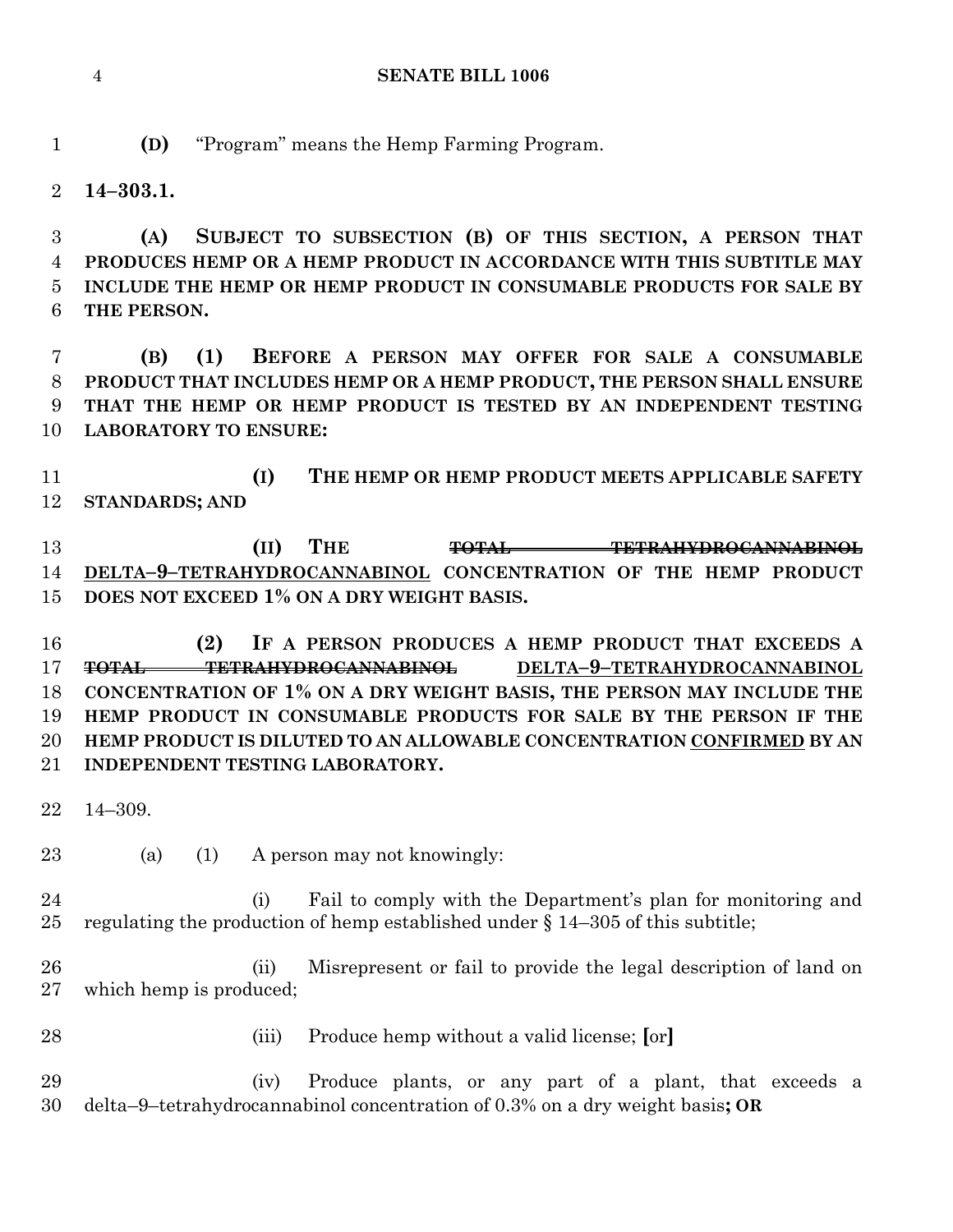#### **SENATE BILL 1006**

**(D)** "Program" means the Hemp Farming Program.

**14–303.1.**

 **(A) SUBJECT TO SUBSECTION (B) OF THIS SECTION, A PERSON THAT PRODUCES HEMP OR A HEMP PRODUCT IN ACCORDANCE WITH THIS SUBTITLE MAY INCLUDE THE HEMP OR HEMP PRODUCT IN CONSUMABLE PRODUCTS FOR SALE BY THE PERSON.**

 **(B) (1) BEFORE A PERSON MAY OFFER FOR SALE A CONSUMABLE PRODUCT THAT INCLUDES HEMP OR A HEMP PRODUCT, THE PERSON SHALL ENSURE THAT THE HEMP OR HEMP PRODUCT IS TESTED BY AN INDEPENDENT TESTING LABORATORY TO ENSURE:**

 **(I) THE HEMP OR HEMP PRODUCT MEETS APPLICABLE SAFETY STANDARDS; AND**

 **(II) THE TOTAL TETRAHYDROCANNABINOL DELTA–9–TETRAHYDROCANNABINOL CONCENTRATION OF THE HEMP PRODUCT DOES NOT EXCEED 1% ON A DRY WEIGHT BASIS.**

 **(2) IF A PERSON PRODUCES A HEMP PRODUCT THAT EXCEEDS A TOTAL TETRAHYDROCANNABINOL DELTA–9–TETRAHYDROCANNABINOL CONCENTRATION OF 1% ON A DRY WEIGHT BASIS, THE PERSON MAY INCLUDE THE HEMP PRODUCT IN CONSUMABLE PRODUCTS FOR SALE BY THE PERSON IF THE HEMP PRODUCT IS DILUTED TO AN ALLOWABLE CONCENTRATION CONFIRMED BY AN INDEPENDENT TESTING LABORATORY.**

- 14–309.
- (a) (1) A person may not knowingly:
- (i) Fail to comply with the Department's plan for monitoring and 25 regulating the production of hemp established under  $\S$  14–305 of this subtitle;
- (ii) Misrepresent or fail to provide the legal description of land on which hemp is produced;
- (iii) Produce hemp without a valid license; **[**or**]**

 (iv) Produce plants, or any part of a plant, that exceeds a delta–9–tetrahydrocannabinol concentration of 0.3% on a dry weight basis**; OR**